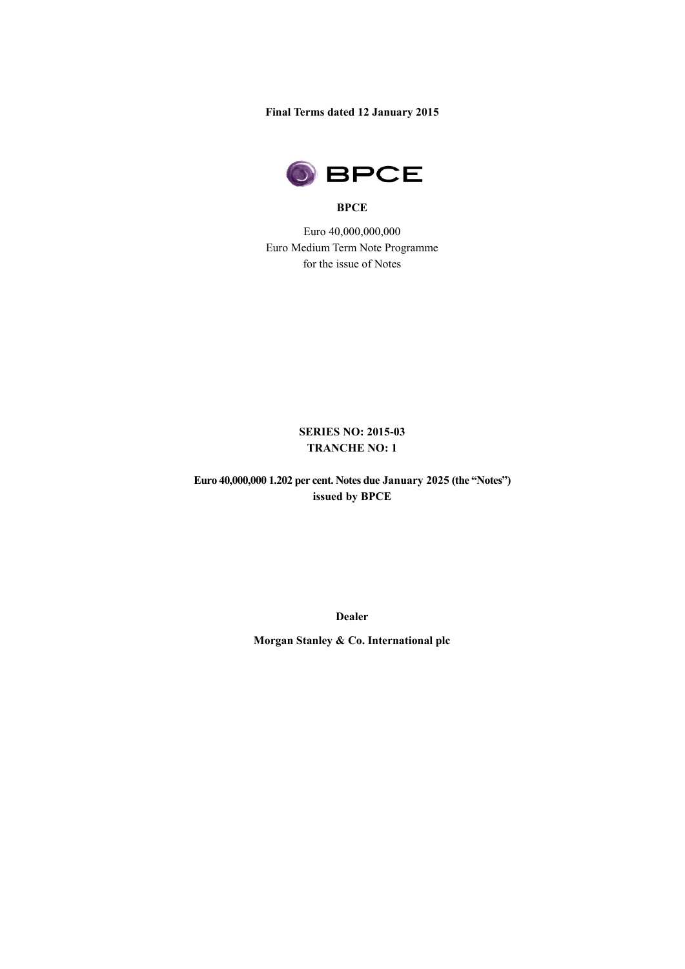**Final Terms dated 12 January 2015**



#### **BPCE**

Euro 40,000,000,000 Euro Medium Term Note Programme for the issue of Notes

## **SERIES NO: 2015-03 TRANCHE NO: 1**

**Euro 40,000,000 1.202 per cent. Notes due January 2025 (the "Notes") issued by BPCE** 

**Dealer**

**Morgan Stanley & Co. International plc**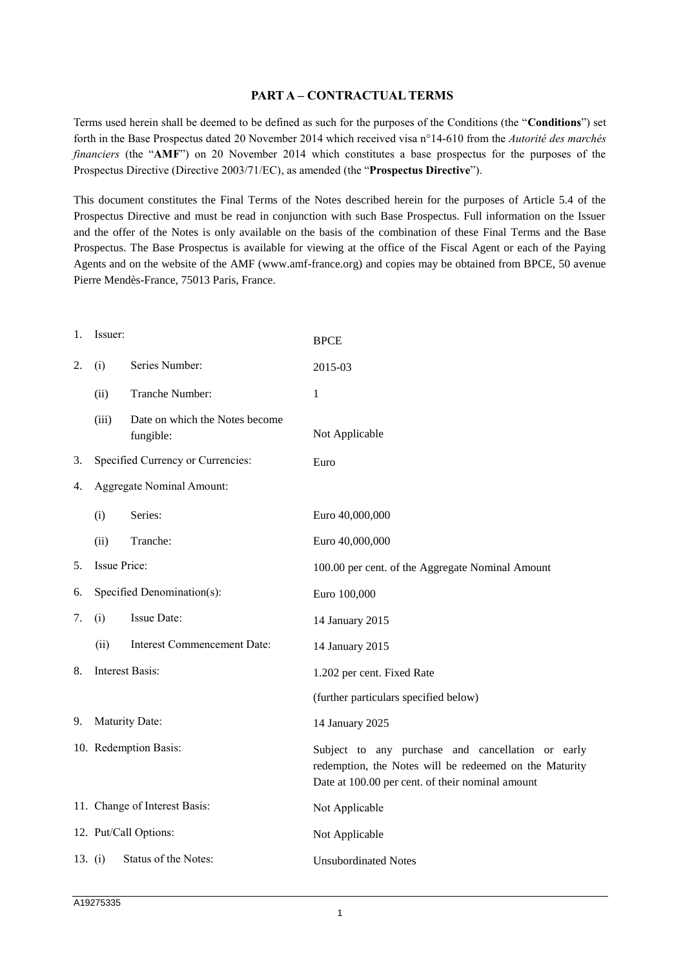## **PART A – CONTRACTUAL TERMS**

Terms used herein shall be deemed to be defined as such for the purposes of the Conditions (the "**Conditions**") set forth in the Base Prospectus dated 20 November 2014 which received visa n°14-610 from the *Autorité des marchés financiers* (the "**AMF**") on 20 November 2014 which constitutes a base prospectus for the purposes of the Prospectus Directive (Directive 2003/71/EC), as amended (the "**Prospectus Directive**").

This document constitutes the Final Terms of the Notes described herein for the purposes of Article 5.4 of the Prospectus Directive and must be read in conjunction with such Base Prospectus. Full information on the Issuer and the offer of the Notes is only available on the basis of the combination of these Final Terms and the Base Prospectus. The Base Prospectus is available for viewing at the office of the Fiscal Agent or each of the Paying Agents and on the website of the AMF (www.amf-france.org) and copies may be obtained from BPCE, 50 avenue Pierre Mendès-France, 75013 Paris, France.

| 1. | Issuer:                    |                                             | <b>BPCE</b>                                                                                                                                                     |
|----|----------------------------|---------------------------------------------|-----------------------------------------------------------------------------------------------------------------------------------------------------------------|
| 2. | (i)                        | Series Number:                              | 2015-03                                                                                                                                                         |
|    | (ii)                       | Tranche Number:                             | 1                                                                                                                                                               |
|    | (iii)                      | Date on which the Notes become<br>fungible: | Not Applicable                                                                                                                                                  |
| 3. |                            | Specified Currency or Currencies:           | Euro                                                                                                                                                            |
| 4. |                            | Aggregate Nominal Amount:                   |                                                                                                                                                                 |
|    | (i)                        | Series:                                     | Euro 40,000,000                                                                                                                                                 |
|    | (ii)                       | Tranche:                                    | Euro 40,000,000                                                                                                                                                 |
| 5. | Issue Price:               |                                             | 100.00 per cent. of the Aggregate Nominal Amount                                                                                                                |
| 6. | Specified Denomination(s): |                                             | Euro 100,000                                                                                                                                                    |
| 7. | (i)                        | Issue Date:                                 | 14 January 2015                                                                                                                                                 |
|    | (ii)                       | <b>Interest Commencement Date:</b>          | 14 January 2015                                                                                                                                                 |
| 8. |                            | <b>Interest Basis:</b>                      | 1.202 per cent. Fixed Rate                                                                                                                                      |
|    |                            |                                             | (further particulars specified below)                                                                                                                           |
| 9. |                            | Maturity Date:                              | 14 January 2025                                                                                                                                                 |
|    |                            | 10. Redemption Basis:                       | Subject to any purchase and cancellation or early<br>redemption, the Notes will be redeemed on the Maturity<br>Date at 100.00 per cent. of their nominal amount |
|    |                            | 11. Change of Interest Basis:               | Not Applicable                                                                                                                                                  |
|    |                            | 12. Put/Call Options:                       | Not Applicable                                                                                                                                                  |
|    | 13. $(i)$                  | Status of the Notes:                        | <b>Unsubordinated Notes</b>                                                                                                                                     |
|    |                            |                                             |                                                                                                                                                                 |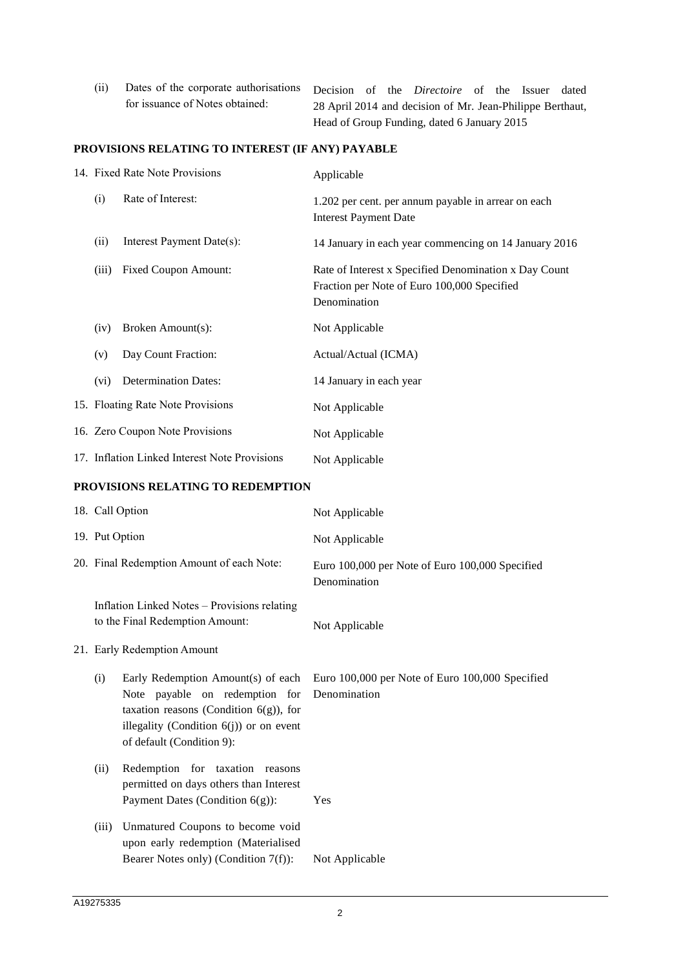| (ii) | Dates of the corporate authorisations Decision of the <i>Directoire</i> of the Issuer |                                             |  |  |                                                           |  |  |  | dated |
|------|---------------------------------------------------------------------------------------|---------------------------------------------|--|--|-----------------------------------------------------------|--|--|--|-------|
|      | for issuance of Notes obtained:                                                       |                                             |  |  | 28 April 2014 and decision of Mr. Jean-Philippe Berthaut, |  |  |  |       |
|      |                                                                                       | Head of Group Funding, dated 6 January 2015 |  |  |                                                           |  |  |  |       |

# **PROVISIONS RELATING TO INTEREST (IF ANY) PAYABLE**

|       | 14. Fixed Rate Note Provisions                | Applicable                                                                                                           |
|-------|-----------------------------------------------|----------------------------------------------------------------------------------------------------------------------|
| (i)   | Rate of Interest:                             | 1.202 per cent. per annum payable in arrear on each<br><b>Interest Payment Date</b>                                  |
| (ii)  | Interest Payment Date(s):                     | 14 January in each year commencing on 14 January 2016                                                                |
| (iii) | <b>Fixed Coupon Amount:</b>                   | Rate of Interest x Specified Denomination x Day Count<br>Fraction per Note of Euro 100,000 Specified<br>Denomination |
| (iv)  | Broken Amount(s):                             | Not Applicable                                                                                                       |
| (v)   | Day Count Fraction:                           | Actual/Actual (ICMA)                                                                                                 |
| (vi)  | <b>Determination Dates:</b>                   | 14 January in each year                                                                                              |
|       | 15. Floating Rate Note Provisions             | Not Applicable                                                                                                       |
|       | 16. Zero Coupon Note Provisions               | Not Applicable                                                                                                       |
|       | 17. Inflation Linked Interest Note Provisions | Not Applicable                                                                                                       |

## **PROVISIONS RELATING TO REDEMPTION**

|                                           | 18. Call Option                                                                                                                                                                              | Not Applicable                                                  |
|-------------------------------------------|----------------------------------------------------------------------------------------------------------------------------------------------------------------------------------------------|-----------------------------------------------------------------|
| 19. Put Option                            |                                                                                                                                                                                              | Not Applicable                                                  |
| 20. Final Redemption Amount of each Note: |                                                                                                                                                                                              | Euro 100,000 per Note of Euro 100,000 Specified<br>Denomination |
|                                           | Inflation Linked Notes - Provisions relating<br>to the Final Redemption Amount:                                                                                                              | Not Applicable                                                  |
|                                           | 21. Early Redemption Amount                                                                                                                                                                  |                                                                 |
| (i)                                       | Early Redemption Amount(s) of each<br>Note payable on redemption for<br>taxation reasons (Condition $6(g)$ ), for<br>illegality (Condition $6(j)$ ) or on event<br>of default (Condition 9): | Euro 100,000 per Note of Euro 100,000 Specified<br>Denomination |
| (ii)                                      | Redemption for taxation reasons<br>permitted on days others than Interest<br>Payment Dates (Condition 6(g)):                                                                                 | Yes                                                             |
| (iii)                                     | Unmatured Coupons to become void<br>upon early redemption (Materialised<br>Bearer Notes only) (Condition 7(f)):                                                                              | Not Applicable                                                  |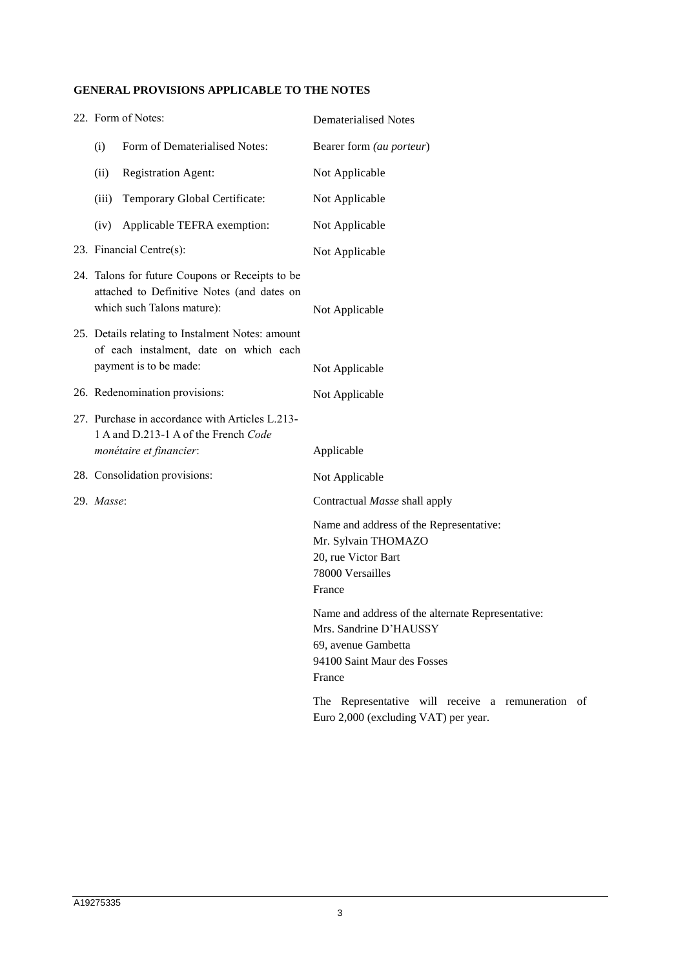## **GENERAL PROVISIONS APPLICABLE TO THE NOTES**

|                                                                                                                             | 22. Form of Notes:                                                                                                   | <b>Dematerialised Notes</b>                                                                                                                 |
|-----------------------------------------------------------------------------------------------------------------------------|----------------------------------------------------------------------------------------------------------------------|---------------------------------------------------------------------------------------------------------------------------------------------|
| (i)                                                                                                                         | Form of Dematerialised Notes:                                                                                        | Bearer form (au porteur)                                                                                                                    |
| (ii)                                                                                                                        | <b>Registration Agent:</b>                                                                                           | Not Applicable                                                                                                                              |
| (iii)                                                                                                                       | Temporary Global Certificate:                                                                                        | Not Applicable                                                                                                                              |
| (iv)                                                                                                                        | Applicable TEFRA exemption:                                                                                          | Not Applicable                                                                                                                              |
|                                                                                                                             | 23. Financial Centre(s):                                                                                             | Not Applicable                                                                                                                              |
| 24. Talons for future Coupons or Receipts to be<br>attached to Definitive Notes (and dates on<br>which such Talons mature): |                                                                                                                      | Not Applicable                                                                                                                              |
|                                                                                                                             | 25. Details relating to Instalment Notes: amount<br>of each instalment, date on which each<br>payment is to be made: | Not Applicable                                                                                                                              |
| 26. Redenomination provisions:                                                                                              |                                                                                                                      | Not Applicable                                                                                                                              |
| 27. Purchase in accordance with Articles L.213-<br>1 A and D.213-1 A of the French Code<br>monétaire et financier:          |                                                                                                                      | Applicable                                                                                                                                  |
|                                                                                                                             |                                                                                                                      |                                                                                                                                             |
|                                                                                                                             | 28. Consolidation provisions:                                                                                        | Not Applicable                                                                                                                              |
| 29. Masse:                                                                                                                  |                                                                                                                      | Contractual Masse shall apply                                                                                                               |
|                                                                                                                             |                                                                                                                      | Name and address of the Representative:<br>Mr. Sylvain THOMAZO<br>20, rue Victor Bart<br>78000 Versailles<br>France                         |
|                                                                                                                             |                                                                                                                      | Name and address of the alternate Representative:<br>Mrs. Sandrine D'HAUSSY<br>69, avenue Gambetta<br>94100 Saint Maur des Fosses<br>France |
|                                                                                                                             |                                                                                                                      | The Representative will receive a remuneration of<br>Euro 2,000 (excluding VAT) per year.                                                   |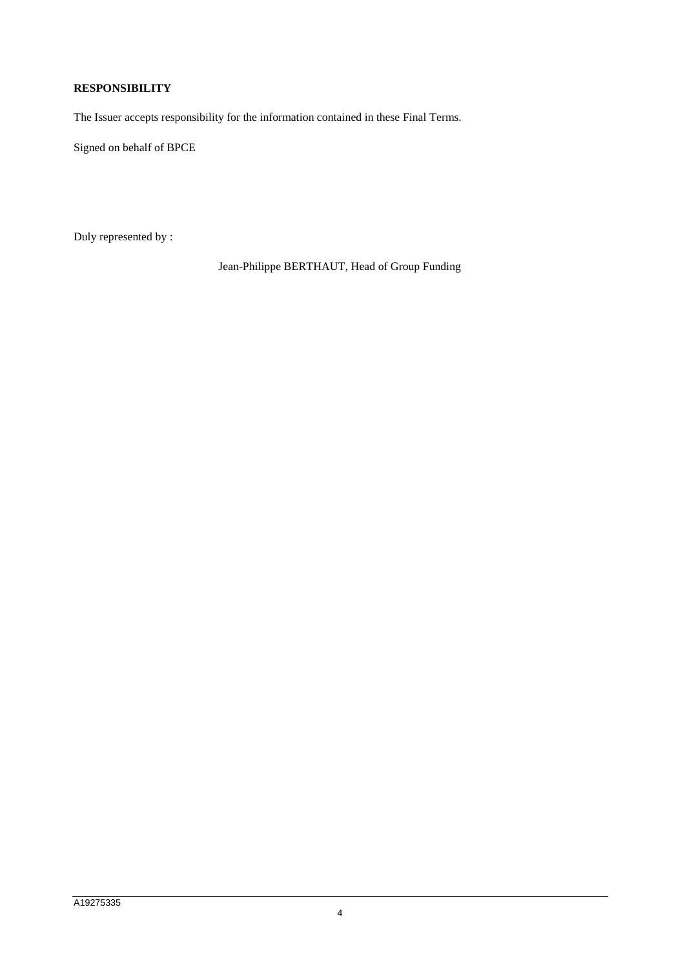## **RESPONSIBILITY**

The Issuer accepts responsibility for the information contained in these Final Terms.

Signed on behalf of BPCE

Duly represented by :

Jean-Philippe BERTHAUT, Head of Group Funding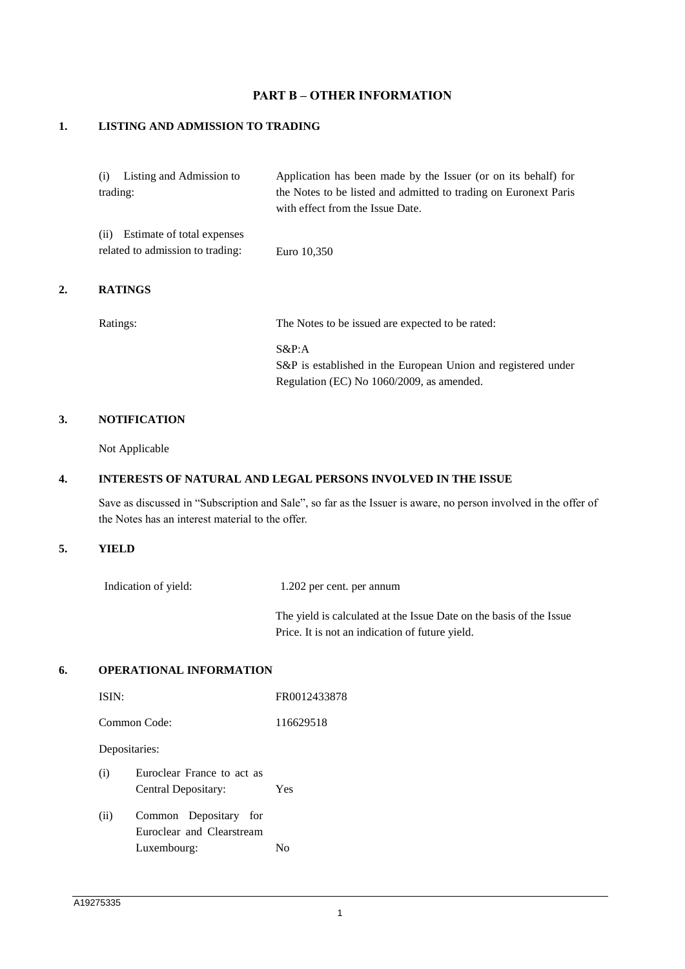## **PART B – OTHER INFORMATION**

#### **1. LISTING AND ADMISSION TO TRADING**

| (i) Listing and Admission to                                        | Application has been made by the Issuer (or on its behalf) for                                       |
|---------------------------------------------------------------------|------------------------------------------------------------------------------------------------------|
| trading:                                                            | the Notes to be listed and admitted to trading on Euronext Paris<br>with effect from the Issue Date. |
| (ii) Estimate of total expenses<br>related to admission to trading: | Euro 10,350                                                                                          |
|                                                                     |                                                                                                      |

#### **2. RATINGS**

Ratings: The Notes to be issued are expected to be rated:

S&P:A S&P is established in the European Union and registered under Regulation (EC) No 1060/2009, as amended.

#### **3. NOTIFICATION**

Not Applicable

#### **4. INTERESTS OF NATURAL AND LEGAL PERSONS INVOLVED IN THE ISSUE**

Save as discussed in "Subscription and Sale", so far as the Issuer is aware, no person involved in the offer of the Notes has an interest material to the offer.

#### **5. YIELD**

Indication of yield: 1.202 per cent. per annum

The yield is calculated at the Issue Date on the basis of the Issue Price. It is not an indication of future yield.

#### **6. OPERATIONAL INFORMATION**

| ISIN: |                                                                   | FR0012433878 |
|-------|-------------------------------------------------------------------|--------------|
|       | Common Code:                                                      | 116629518    |
|       | Depositaries:                                                     |              |
| (i)   | Euroclear France to act as<br>Central Depositary:                 | Yes          |
| (ii)  | Common Depositary for<br>Euroclear and Clearstream<br>Luxembourg: | Nο           |
|       |                                                                   |              |